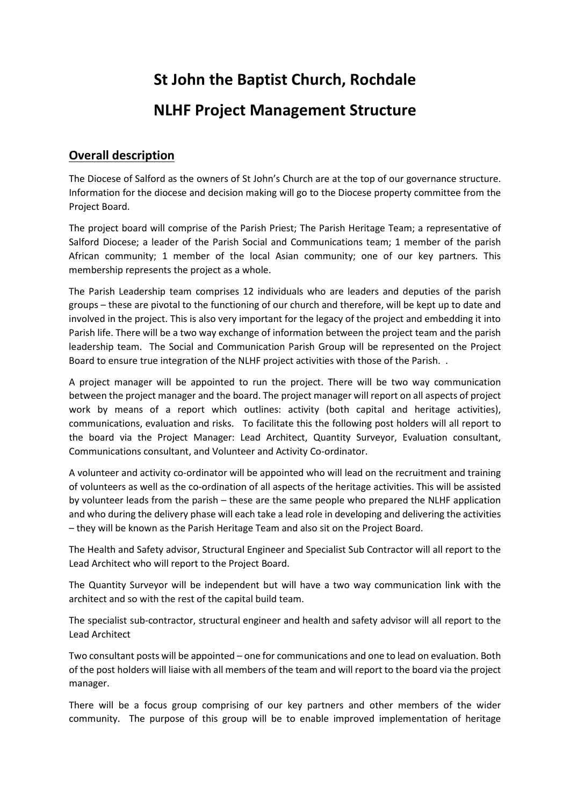## **St John the Baptist Church, Rochdale NLHF Project Management Structure**

## **Overall description**

The Diocese of Salford as the owners of St John's Church are at the top of our governance structure. Information for the diocese and decision making will go to the Diocese property committee from the Project Board.

The project board will comprise of the Parish Priest; The Parish Heritage Team; a representative of Salford Diocese; a leader of the Parish Social and Communications team; 1 member of the parish African community; 1 member of the local Asian community; one of our key partners. This membership represents the project as a whole.

The Parish Leadership team comprises 12 individuals who are leaders and deputies of the parish groups – these are pivotal to the functioning of our church and therefore, will be kept up to date and involved in the project. This is also very important for the legacy of the project and embedding it into Parish life. There will be a two way exchange of information between the project team and the parish leadership team. The Social and Communication Parish Group will be represented on the Project Board to ensure true integration of the NLHF project activities with those of the Parish. .

A project manager will be appointed to run the project. There will be two way communication between the project manager and the board. The project manager will report on all aspects of project work by means of a report which outlines: activity (both capital and heritage activities), communications, evaluation and risks. To facilitate this the following post holders will all report to the board via the Project Manager: Lead Architect, Quantity Surveyor, Evaluation consultant, Communications consultant, and Volunteer and Activity Co-ordinator.

A volunteer and activity co-ordinator will be appointed who will lead on the recruitment and training of volunteers as well as the co-ordination of all aspects of the heritage activities. This will be assisted by volunteer leads from the parish – these are the same people who prepared the NLHF application and who during the delivery phase will each take a lead role in developing and delivering the activities – they will be known as the Parish Heritage Team and also sit on the Project Board.

The Health and Safety advisor, Structural Engineer and Specialist Sub Contractor will all report to the Lead Architect who will report to the Project Board.

The Quantity Surveyor will be independent but will have a two way communication link with the architect and so with the rest of the capital build team.

The specialist sub-contractor, structural engineer and health and safety advisor will all report to the Lead Architect

Two consultant posts will be appointed – one for communications and one to lead on evaluation. Both of the post holders will liaise with all members of the team and will report to the board via the project manager.

There will be a focus group comprising of our key partners and other members of the wider community. The purpose of this group will be to enable improved implementation of heritage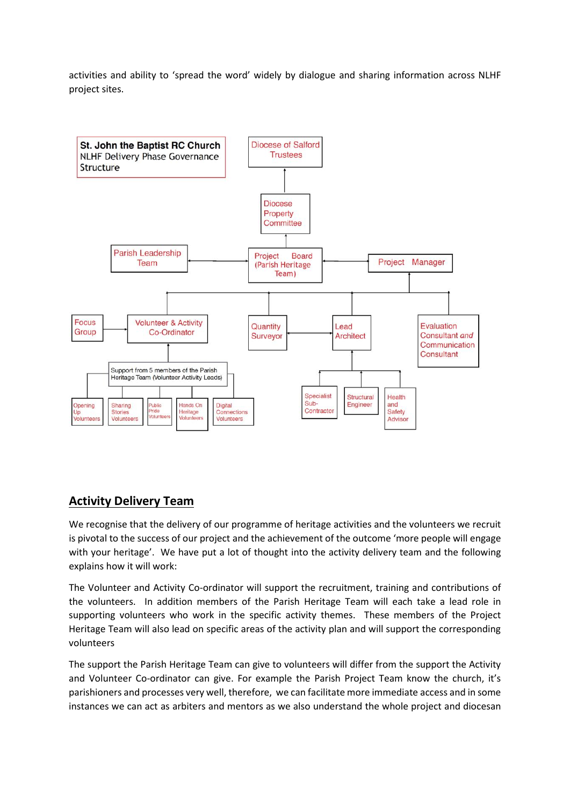activities and ability to 'spread the word' widely by dialogue and sharing information across NLHF project sites.



## **Activity Delivery Team**

We recognise that the delivery of our programme of heritage activities and the volunteers we recruit is pivotal to the success of our project and the achievement of the outcome 'more people will engage with your heritage'. We have put a lot of thought into the activity delivery team and the following explains how it will work:

The Volunteer and Activity Co-ordinator will support the recruitment, training and contributions of the volunteers. In addition members of the Parish Heritage Team will each take a lead role in supporting volunteers who work in the specific activity themes. These members of the Project Heritage Team will also lead on specific areas of the activity plan and will support the corresponding volunteers

The support the Parish Heritage Team can give to volunteers will differ from the support the Activity and Volunteer Co-ordinator can give. For example the Parish Project Team know the church, it's parishioners and processes very well, therefore, we can facilitate more immediate access and in some instances we can act as arbiters and mentors as we also understand the whole project and diocesan